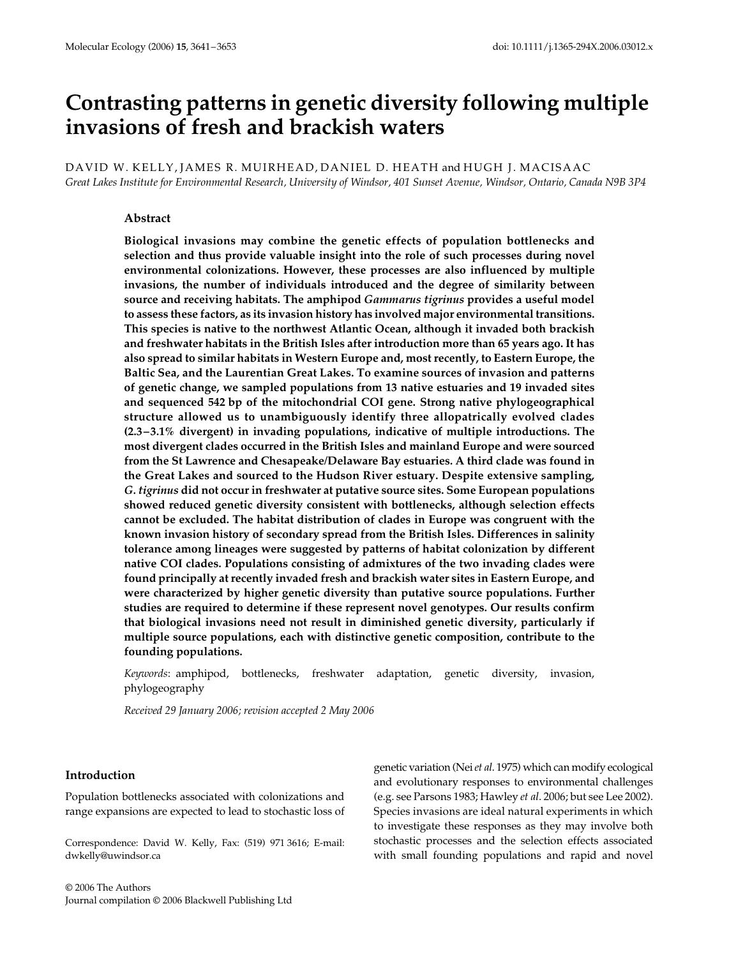# **Contrasting patterns in genetic diversity following multiple invasions of fresh and brackish waters**

DAVID W. KELLY, JAMES R. MUIRHEAD, DANIEL D. HEATH and HUGH J. MACISAAC *Great Lakes Institute for Environmental Research, University of Windsor, 401 Sunset Avenue, Windsor, Ontario, Canada N9B 3P4* 

# **Abstract**

**Biological invasions may combine the genetic effects of population bottlenecks and selection and thus provide valuable insight into the role of such processes during novel environmental colonizations. However, these processes are also influenced by multiple invasions, the number of individuals introduced and the degree of similarity between source and receiving habitats. The amphipod** *Gammarus tigrinus* **provides a useful model to assess these factors, as its invasion history has involved major environmental transitions. This species is native to the northwest Atlantic Ocean, although it invaded both brackish and freshwater habitats in the British Isles after introduction more than 65 years ago. It has also spread to similar habitats in Western Europe and, most recently, to Eastern Europe, the Baltic Sea, and the Laurentian Great Lakes. To examine sources of invasion and patterns of genetic change, we sampled populations from 13 native estuaries and 19 invaded sites and sequenced 542 bp of the mitochondrial COI gene. Strong native phylogeographical structure allowed us to unambiguously identify three allopatrically evolved clades (2.3–3.1% divergent) in invading populations, indicative of multiple introductions. The most divergent clades occurred in the British Isles and mainland Europe and were sourced from the St Lawrence and Chesapeake/Delaware Bay estuaries. A third clade was found in the Great Lakes and sourced to the Hudson River estuary. Despite extensive sampling,** *G. tigrinus* **did not occur in freshwater at putative source sites. Some European populations showed reduced genetic diversity consistent with bottlenecks, although selection effects cannot be excluded. The habitat distribution of clades in Europe was congruent with the known invasion history of secondary spread from the British Isles. Differences in salinity tolerance among lineages were suggested by patterns of habitat colonization by different native COI clades. Populations consisting of admixtures of the two invading clades were found principally at recently invaded fresh and brackish water sites in Eastern Europe, and were characterized by higher genetic diversity than putative source populations. Further studies are required to determine if these represent novel genotypes. Our results confirm that biological invasions need not result in diminished genetic diversity, particularly if multiple source populations, each with distinctive genetic composition, contribute to the founding populations.**

*Keywords*: amphipod, bottlenecks, freshwater adaptation, genetic diversity, invasion, phylogeography

*Received 29 January 2006; revision accepted 2 May 2006*

#### **Introduction**

Population bottlenecks associated with colonizations and range expansions are expected to lead to stochastic loss of

Correspondence: David W. Kelly, Fax: (519) 971 3616; E-mail: dwkelly@uwindsor.ca

genetic variation (Nei *et al*. 1975) which can modify ecological and evolutionary responses to environmental challenges (e.g. see Parsons 1983; Hawley *et al*. 2006; but see Lee 2002). Species invasions are ideal natural experiments in which to investigate these responses as they may involve both stochastic processes and the selection effects associated with small founding populations and rapid and novel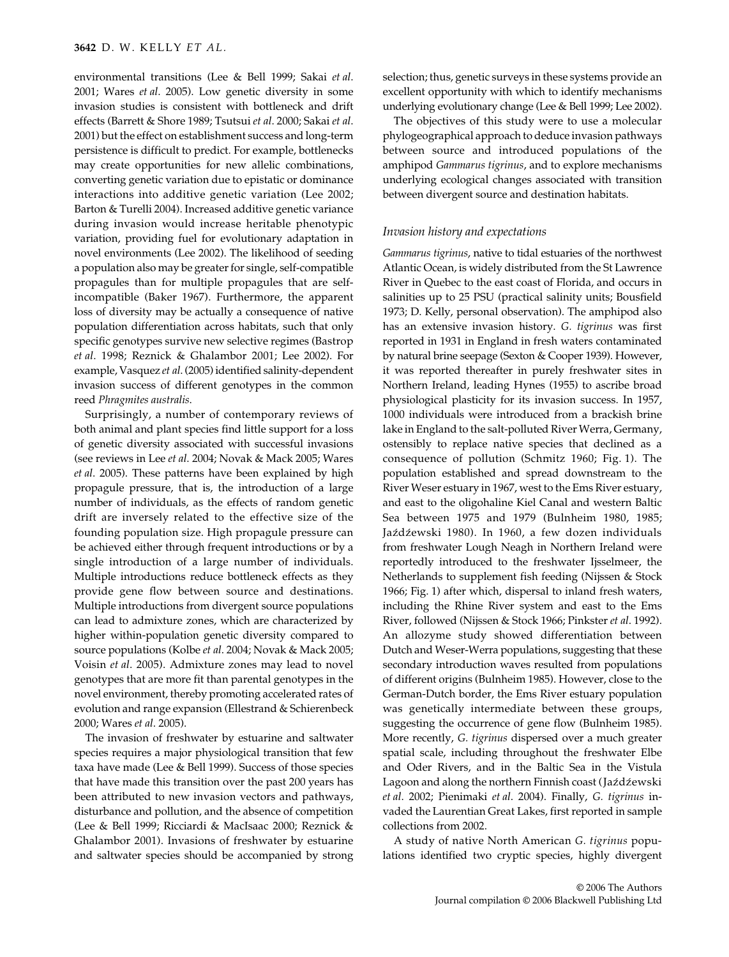environmental transitions (Lee & Bell 1999; Sakai *et al*. 2001; Wares *et al*. 2005). Low genetic diversity in some invasion studies is consistent with bottleneck and drift effects (Barrett & Shore 1989; Tsutsui *et al*. 2000; Sakai *et al*. 2001) but the effect on establishment success and long-term persistence is difficult to predict. For example, bottlenecks may create opportunities for new allelic combinations, converting genetic variation due to epistatic or dominance interactions into additive genetic variation (Lee 2002; Barton & Turelli 2004). Increased additive genetic variance during invasion would increase heritable phenotypic variation, providing fuel for evolutionary adaptation in novel environments (Lee 2002). The likelihood of seeding a population also may be greater for single, self-compatible propagules than for multiple propagules that are selfincompatible (Baker 1967). Furthermore, the apparent loss of diversity may be actually a consequence of native population differentiation across habitats, such that only specific genotypes survive new selective regimes (Bastrop *et al*. 1998; Reznick & Ghalambor 2001; Lee 2002). For example, Vasquez *et al*. (2005) identified salinity-dependent invasion success of different genotypes in the common reed *Phragmites australis*.

Surprisingly, a number of contemporary reviews of both animal and plant species find little support for a loss of genetic diversity associated with successful invasions (see reviews in Lee *et al*. 2004; Novak & Mack 2005; Wares *et al*. 2005). These patterns have been explained by high propagule pressure, that is, the introduction of a large number of individuals, as the effects of random genetic drift are inversely related to the effective size of the founding population size. High propagule pressure can be achieved either through frequent introductions or by a single introduction of a large number of individuals. Multiple introductions reduce bottleneck effects as they provide gene flow between source and destinations. Multiple introductions from divergent source populations can lead to admixture zones, which are characterized by higher within-population genetic diversity compared to source populations (Kolbe *et al*. 2004; Novak & Mack 2005; Voisin *et al*. 2005). Admixture zones may lead to novel genotypes that are more fit than parental genotypes in the novel environment, thereby promoting accelerated rates of evolution and range expansion (Ellestrand & Schierenbeck 2000; Wares *et al*. 2005).

The invasion of freshwater by estuarine and saltwater species requires a major physiological transition that few taxa have made (Lee & Bell 1999). Success of those species that have made this transition over the past 200 years has been attributed to new invasion vectors and pathways, disturbance and pollution, and the absence of competition (Lee & Bell 1999; Ricciardi & MacIsaac 2000; Reznick & Ghalambor 2001). Invasions of freshwater by estuarine and saltwater species should be accompanied by strong selection; thus, genetic surveys in these systems provide an excellent opportunity with which to identify mechanisms underlying evolutionary change (Lee & Bell 1999; Lee 2002).

The objectives of this study were to use a molecular phylogeographical approach to deduce invasion pathways between source and introduced populations of the amphipod *Gammarus tigrinus*, and to explore mechanisms underlying ecological changes associated with transition between divergent source and destination habitats.

#### *Invasion history and expectations*

*Gammarus tigrinus*, native to tidal estuaries of the northwest Atlantic Ocean, is widely distributed from the St Lawrence River in Quebec to the east coast of Florida, and occurs in salinities up to 25 PSU (practical salinity units; Bousfield 1973; D. Kelly, personal observation). The amphipod also has an extensive invasion history. *G. tigrinus* was first reported in 1931 in England in fresh waters contaminated by natural brine seepage (Sexton & Cooper 1939). However, it was reported thereafter in purely freshwater sites in Northern Ireland, leading Hynes (1955) to ascribe broad physiological plasticity for its invasion success. In 1957, 1000 individuals were introduced from a brackish brine lake in England to the salt-polluted River Werra, Germany, ostensibly to replace native species that declined as a consequence of pollution (Schmitz 1960; Fig. 1). The population established and spread downstream to the River Weser estuary in 1967, west to the Ems River estuary, and east to the oligohaline Kiel Canal and western Baltic Sea between 1975 and 1979 (Bulnheim 1980, 1985; Jaźdźewski 1980). In 1960, a few dozen individuals from freshwater Lough Neagh in Northern Ireland were reportedly introduced to the freshwater Ijsselmeer, the Netherlands to supplement fish feeding (Nijssen & Stock 1966; Fig. 1) after which, dispersal to inland fresh waters, including the Rhine River system and east to the Ems River, followed (Nijssen & Stock 1966; Pinkster *et al*. 1992). An allozyme study showed differentiation between Dutch and Weser-Werra populations, suggesting that these secondary introduction waves resulted from populations of different origins (Bulnheim 1985). However, close to the German-Dutch border, the Ems River estuary population was genetically intermediate between these groups, suggesting the occurrence of gene flow (Bulnheim 1985). More recently, *G. tigrinus* dispersed over a much greater spatial scale, including throughout the freshwater Elbe and Oder Rivers, and in the Baltic Sea in the Vistula Lagoon and along the northern Finnish coast (Jaźdźewski *et al*. 2002; Pienimaki *et al*. 2004). Finally, *G. tigrinus* invaded the Laurentian Great Lakes, first reported in sample collections from 2002.

A study of native North American *G. tigrinus* populations identified two cryptic species, highly divergent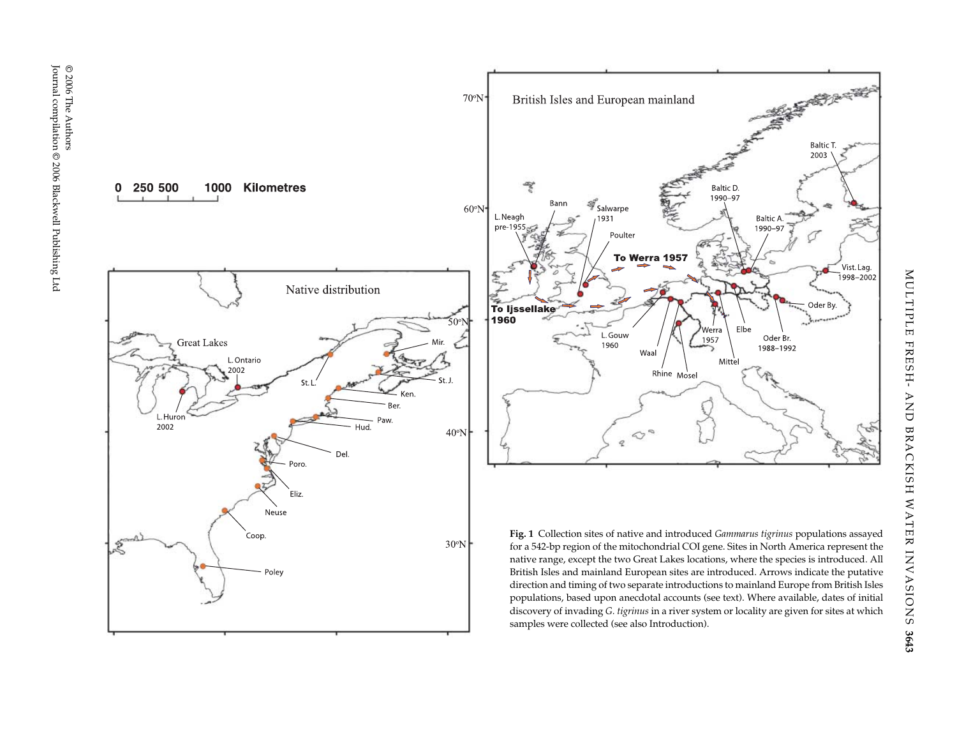



**Fig. 1** Collection sites of native and introduced *Gammarus tigrinus* populations assayed for a 542-bp region of the mitochondrial COI gene. Sites in North America represent the native range, except the two Great Lakes locations, where the species is introduced. All British Isles and mainland European sites are introduced. Arrows indicate the putative direction and timing of two separate introductions to mainland Europe from British Isles populations, based upon anecdotal accounts (see text). Where available, dates of initial discovery of invading *G. tigrinus* in a river system or locality are given for sites at which samples were collected (see also Introduction).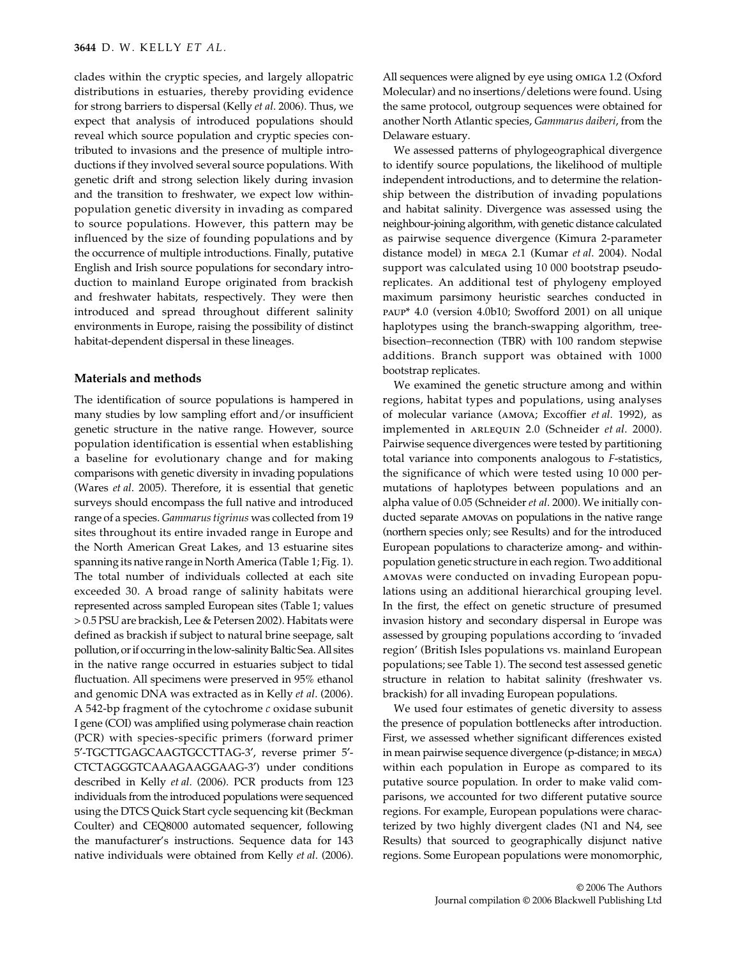clades within the cryptic species, and largely allopatric distributions in estuaries, thereby providing evidence for strong barriers to dispersal (Kelly *et al*. 2006). Thus, we expect that analysis of introduced populations should reveal which source population and cryptic species contributed to invasions and the presence of multiple introductions if they involved several source populations. With genetic drift and strong selection likely during invasion and the transition to freshwater, we expect low withinpopulation genetic diversity in invading as compared to source populations. However, this pattern may be influenced by the size of founding populations and by the occurrence of multiple introductions. Finally, putative English and Irish source populations for secondary introduction to mainland Europe originated from brackish and freshwater habitats, respectively. They were then introduced and spread throughout different salinity environments in Europe, raising the possibility of distinct habitat-dependent dispersal in these lineages.

## **Materials and methods**

The identification of source populations is hampered in many studies by low sampling effort and/or insufficient genetic structure in the native range. However, source population identification is essential when establishing a baseline for evolutionary change and for making comparisons with genetic diversity in invading populations (Wares *et al*. 2005). Therefore, it is essential that genetic surveys should encompass the full native and introduced range of a species. *Gammarus tigrinus* was collected from 19 sites throughout its entire invaded range in Europe and the North American Great Lakes, and 13 estuarine sites spanning its native range in North America (Table 1; Fig. 1). The total number of individuals collected at each site exceeded 30. A broad range of salinity habitats were represented across sampled European sites (Table 1; values > 0.5 PSU are brackish, Lee & Petersen 2002). Habitats were defined as brackish if subject to natural brine seepage, salt pollution, or if occurring in the low-salinity Baltic Sea. All sites in the native range occurred in estuaries subject to tidal fluctuation. All specimens were preserved in 95% ethanol and genomic DNA was extracted as in Kelly *et al*. (2006). A 542-bp fragment of the cytochrome *c* oxidase subunit I gene (COI) was amplified using polymerase chain reaction (PCR) with species-specific primers (forward primer 5′-TGCTTGAGCAAGTGCCTTAG-3′, reverse primer 5′- CTCTAGGGTCAAAGAAGGAAG-3′) under conditions described in Kelly *et al*. (2006). PCR products from 123 individuals from the introduced populations were sequenced using the DTCS Quick Start cycle sequencing kit (Beckman Coulter) and CEQ8000 automated sequencer, following the manufacturer's instructions. Sequence data for 143 native individuals were obtained from Kelly *et al*. (2006). All sequences were aligned by eye using OMIGA 1.2 (Oxford Molecular) and no insertions/deletions were found. Using the same protocol, outgroup sequences were obtained for another North Atlantic species, *Gammarus daiberi*, from the Delaware estuary.

We assessed patterns of phylogeographical divergence to identify source populations, the likelihood of multiple independent introductions, and to determine the relationship between the distribution of invading populations and habitat salinity. Divergence was assessed using the neighbour-joining algorithm, with genetic distance calculated as pairwise sequence divergence (Kimura 2-parameter distance model) in mega 2.1 (Kumar *et al*. 2004). Nodal support was calculated using 10 000 bootstrap pseudoreplicates. An additional test of phylogeny employed maximum parsimony heuristic searches conducted in paup\* 4.0 (version 4.0b10; Swofford 2001) on all unique haplotypes using the branch-swapping algorithm, treebisection–reconnection (TBR) with 100 random stepwise additions. Branch support was obtained with 1000 bootstrap replicates.

We examined the genetic structure among and within regions, habitat types and populations, using analyses of molecular variance (amova; Excoffier *et al*. 1992), as implemented in arlequin 2.0 (Schneider *et al*. 2000). Pairwise sequence divergences were tested by partitioning total variance into components analogous to *F*-statistics, the significance of which were tested using 10 000 permutations of haplotypes between populations and an alpha value of 0.05 (Schneider *et al*. 2000). We initially conducted separate amovas on populations in the native range (northern species only; see Results) and for the introduced European populations to characterize among- and withinpopulation genetic structure in each region. Two additional amovas were conducted on invading European populations using an additional hierarchical grouping level. In the first, the effect on genetic structure of presumed invasion history and secondary dispersal in Europe was assessed by grouping populations according to 'invaded region' (British Isles populations vs. mainland European populations; see Table 1). The second test assessed genetic structure in relation to habitat salinity (freshwater vs. brackish) for all invading European populations.

We used four estimates of genetic diversity to assess the presence of population bottlenecks after introduction. First, we assessed whether significant differences existed in mean pairwise sequence divergence (p-distance; in mega) within each population in Europe as compared to its putative source population. In order to make valid comparisons, we accounted for two different putative source regions. For example, European populations were characterized by two highly divergent clades (N1 and N4, see Results) that sourced to geographically disjunct native regions. Some European populations were monomorphic,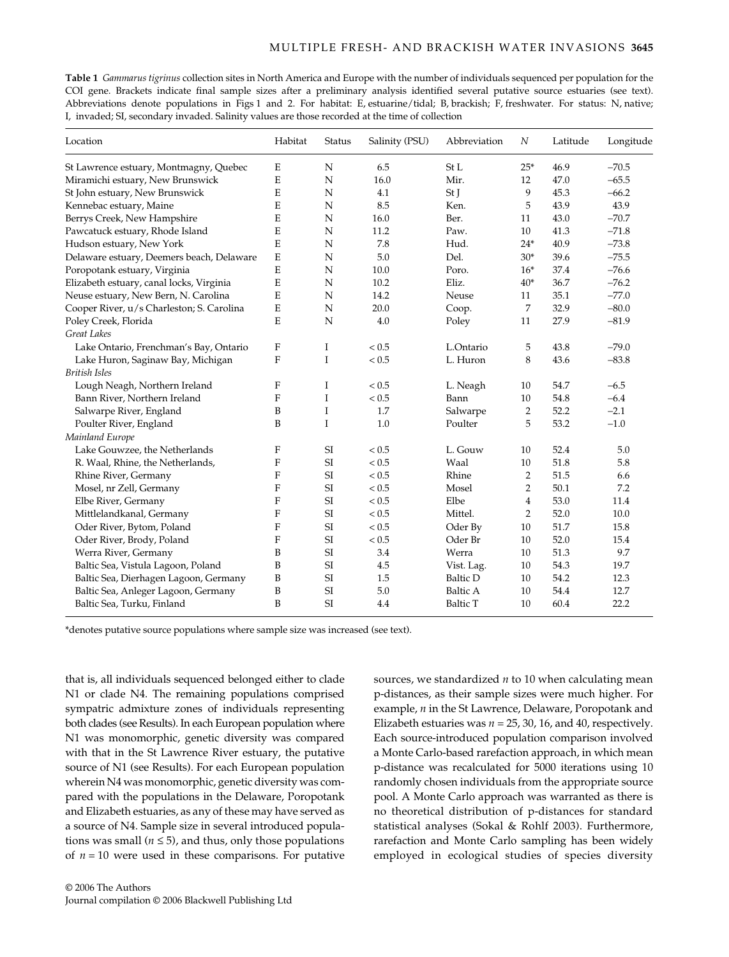| <b>Table 1</b> <i>Gammarus tigrinus</i> collection sites in North America and Europe with the number of individuals sequenced per population for the |
|------------------------------------------------------------------------------------------------------------------------------------------------------|
| COI gene. Brackets indicate final sample sizes after a preliminary analysis identified several putative source estuaries (see text).                 |
| Abbreviations denote populations in Figs 1 and 2. For habitat: E, estuarine/tidal; B, brackish; F, freshwater. For status: N, native;                |
| I, invaded; SI, secondary invaded. Salinity values are those recorded at the time of collection                                                      |

| Location                                  | Habitat     | Status      | Salinity (PSU) | Abbreviation    | N              | Latitude | Longitude |
|-------------------------------------------|-------------|-------------|----------------|-----------------|----------------|----------|-----------|
| St Lawrence estuary, Montmagny, Quebec    | Ε           | N           | 6.5            | St L            | $25*$          | 46.9     | $-70.5$   |
| Miramichi estuary, New Brunswick          | E           | N           | 16.0           | Mir.            | 12             | 47.0     | $-65.5$   |
| St John estuary, New Brunswick            | E           | N           | 4.1            | St J            | 9              | 45.3     | $-66.2$   |
| Kennebac estuary, Maine                   | E           | N           | 8.5            | Ken.            | 5              | 43.9     | 43.9      |
| Berrys Creek, New Hampshire               | E           | N           | 16.0           | Ber.            | 11             | 43.0     | $-70.7$   |
| Pawcatuck estuary, Rhode Island           | E           | N           | 11.2           | Paw.            | 10             | 41.3     | $-71.8$   |
| Hudson estuary, New York                  | E           | N           | 7.8            | Hud.            | $24*$          | 40.9     | $-73.8$   |
| Delaware estuary, Deemers beach, Delaware | E           | N           | 5.0            | Del.            | $30*$          | 39.6     | $-75.5$   |
| Poropotank estuary, Virginia              | E           | N           | 10.0           | Poro.           | $16*$          | 37.4     | $-76.6$   |
| Elizabeth estuary, canal locks, Virginia  | E           | N           | 10.2           | Eliz.           | $40*$          | 36.7     | $-76.2$   |
| Neuse estuary, New Bern, N. Carolina      | E           | N           | 14.2           | Neuse           | 11             | 35.1     | $-77.0$   |
| Cooper River, u/s Charleston; S. Carolina | $\mathbf E$ | $\mathbf N$ | 20.0           | Coop.           | 7              | 32.9     | $-80.0$   |
| Poley Creek, Florida                      | E           | N           | 4.0            | Poley           | 11             | 27.9     | $-81.9$   |
| <b>Great Lakes</b>                        |             |             |                |                 |                |          |           |
| Lake Ontario, Frenchman's Bay, Ontario    | F           | I           | < 0.5          | L.Ontario       | 5              | 43.8     | $-79.0$   |
| Lake Huron, Saginaw Bay, Michigan         | F           | I           | < 0.5          | L. Huron        | 8              | 43.6     | $-83.8$   |
| <b>British Isles</b>                      |             |             |                |                 |                |          |           |
| Lough Neagh, Northern Ireland             | F           | I           | < 0.5          | L. Neagh        | 10             | 54.7     | $-6.5$    |
| Bann River, Northern Ireland              | $\mathbf F$ | I           | < 0.5          | Bann            | 10             | 54.8     | $-6.4$    |
| Salwarpe River, England                   | B           | I           | 1.7            | Salwarpe        | $\overline{2}$ | 52.2     | $-2.1$    |
| Poulter River, England                    | B           | T           | 1.0            | Poulter         | 5              | 53.2     | $-1.0$    |
| Mainland Europe                           |             |             |                |                 |                |          |           |
| Lake Gouwzee, the Netherlands             | F           | <b>SI</b>   | < 0.5          | L. Gouw         | 10             | 52.4     | 5.0       |
| R. Waal, Rhine, the Netherlands,          | $\mathbf F$ | SI          | < 0.5          | Waal            | 10             | 51.8     | 5.8       |
| Rhine River, Germany                      | $\mathbf F$ | SI          | < 0.5          | Rhine           | $\overline{2}$ | 51.5     | 6.6       |
| Mosel, nr Zell, Germany                   | F           | SI          | ${}< 0.5$      | Mosel           | $\overline{2}$ | 50.1     | 7.2       |
| Elbe River, Germany                       | F           | SI          | ${}_{< 0.5}$   | Elbe            | $\overline{4}$ | 53.0     | 11.4      |
| Mittlelandkanal, Germany                  | F           | <b>SI</b>   | ${}_{< 0.5}$   | Mittel.         | $\overline{2}$ | 52.0     | 10.0      |
| Oder River, Bytom, Poland                 | F           | SI          | ${}< 0.5$      | Oder By         | 10             | 51.7     | 15.8      |
| Oder River, Brody, Poland                 | F           | SI          | ${}< 0.5$      | Oder Br         | 10             | 52.0     | 15.4      |
| Werra River, Germany                      | B           | SI          | 3.4            | Werra           | 10             | 51.3     | 9.7       |
| Baltic Sea, Vistula Lagoon, Poland        | B           | SI          | 4.5            | Vist. Lag.      | 10             | 54.3     | 19.7      |
| Baltic Sea, Dierhagen Lagoon, Germany     | B           | SI          | 1.5            | <b>Baltic D</b> | 10             | 54.2     | 12.3      |
| Baltic Sea, Anleger Lagoon, Germany       | B           | SI          | 5.0            | <b>Baltic A</b> | 10             | 54.4     | 12.7      |
| Baltic Sea, Turku, Finland                | B           | <b>SI</b>   | 4.4            | <b>Baltic T</b> | 10             | 60.4     | 22.2      |

\*denotes putative source populations where sample size was increased (see text).

that is, all individuals sequenced belonged either to clade N1 or clade N4. The remaining populations comprised sympatric admixture zones of individuals representing both clades (see Results). In each European population where N1 was monomorphic, genetic diversity was compared with that in the St Lawrence River estuary, the putative source of N1 (see Results). For each European population wherein N4 was monomorphic, genetic diversity was compared with the populations in the Delaware, Poropotank and Elizabeth estuaries, as any of these may have served as a source of N4. Sample size in several introduced populations was small ( $n \leq 5$ ), and thus, only those populations of  $n = 10$  were used in these comparisons. For putative

sources, we standardized *n* to 10 when calculating mean p-distances, as their sample sizes were much higher. For example, *n* in the St Lawrence, Delaware, Poropotank and Elizabeth estuaries was  $n = 25, 30, 16$ , and 40, respectively. Each source-introduced population comparison involved a Monte Carlo-based rarefaction approach, in which mean p-distance was recalculated for 5000 iterations using 10 randomly chosen individuals from the appropriate source pool. A Monte Carlo approach was warranted as there is no theoretical distribution of p-distances for standard statistical analyses (Sokal & Rohlf 2003). Furthermore, rarefaction and Monte Carlo sampling has been widely employed in ecological studies of species diversity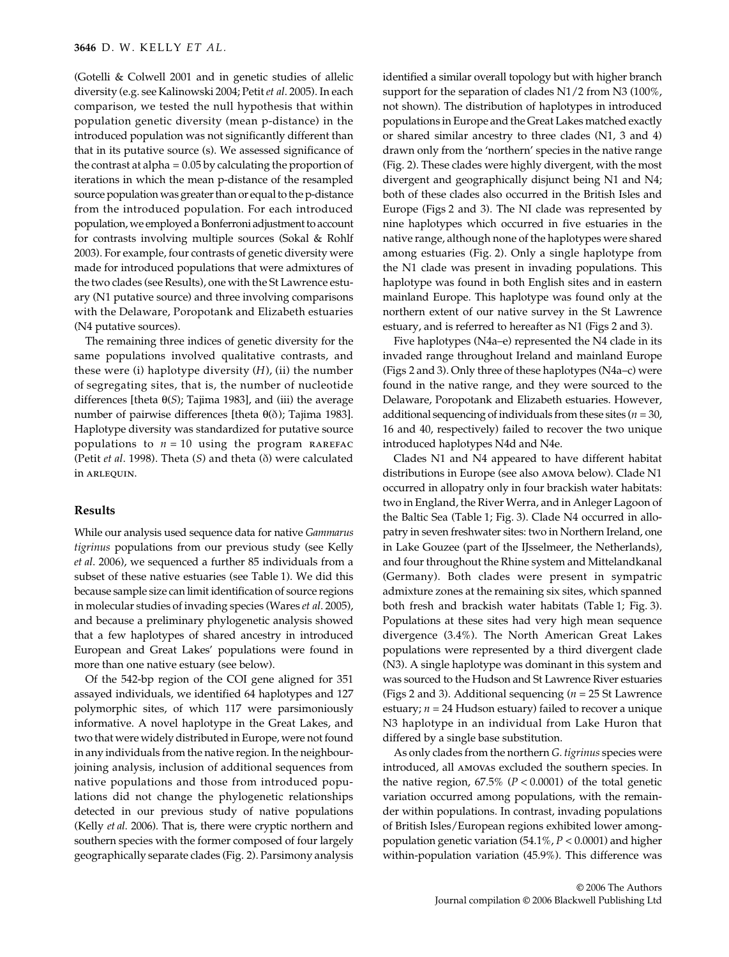(Gotelli & Colwell 2001 and in genetic studies of allelic diversity (e.g. see Kalinowski 2004; Petit *et al*. 2005). In each comparison, we tested the null hypothesis that within population genetic diversity (mean p-distance) in the introduced population was not significantly different than that in its putative source (s). We assessed significance of the contrast at alpha  $= 0.05$  by calculating the proportion of iterations in which the mean p-distance of the resampled source population was greater than or equal to the p-distance from the introduced population. For each introduced population, we employed a Bonferroni adjustment to account for contrasts involving multiple sources (Sokal & Rohlf 2003). For example, four contrasts of genetic diversity were made for introduced populations that were admixtures of the two clades (see Results), one with the St Lawrence estuary (N1 putative source) and three involving comparisons with the Delaware, Poropotank and Elizabeth estuaries (N4 putative sources).

The remaining three indices of genetic diversity for the same populations involved qualitative contrasts, and these were (i) haplotype diversity (*H*), (ii) the number of segregating sites, that is, the number of nucleotide differences [theta θ(*S*); Tajima 1983], and (iii) the average number of pairwise differences [theta θ(3); Tajima 1983]. Haplotype diversity was standardized for putative source populations to  $n = 10$  using the program RAREFAC (Petit *et al*. 1998). Theta (*S*) and theta (3) were calculated in arlequin.

# **Results**

While our analysis used sequence data for native *Gammarus tigrinus* populations from our previous study (see Kelly *et al*. 2006), we sequenced a further 85 individuals from a subset of these native estuaries (see Table 1). We did this because sample size can limit identification of source regions in molecular studies of invading species (Wares *et al*. 2005), and because a preliminary phylogenetic analysis showed that a few haplotypes of shared ancestry in introduced European and Great Lakes' populations were found in more than one native estuary (see below).

Of the 542-bp region of the COI gene aligned for 351 assayed individuals, we identified 64 haplotypes and 127 polymorphic sites, of which 117 were parsimoniously informative. A novel haplotype in the Great Lakes, and two that were widely distributed in Europe, were not found in any individuals from the native region. In the neighbourjoining analysis, inclusion of additional sequences from native populations and those from introduced populations did not change the phylogenetic relationships detected in our previous study of native populations (Kelly *et al*. 2006). That is, there were cryptic northern and southern species with the former composed of four largely geographically separate clades (Fig. 2). Parsimony analysis identified a similar overall topology but with higher branch support for the separation of clades N1/2 from N3 (100%, not shown). The distribution of haplotypes in introduced populations in Europe and the Great Lakes matched exactly or shared similar ancestry to three clades (N1, 3 and 4) drawn only from the 'northern' species in the native range (Fig. 2). These clades were highly divergent, with the most divergent and geographically disjunct being N1 and N4; both of these clades also occurred in the British Isles and Europe (Figs 2 and 3). The NI clade was represented by nine haplotypes which occurred in five estuaries in the native range, although none of the haplotypes were shared among estuaries (Fig. 2). Only a single haplotype from the N1 clade was present in invading populations. This haplotype was found in both English sites and in eastern mainland Europe. This haplotype was found only at the northern extent of our native survey in the St Lawrence estuary, and is referred to hereafter as N1 (Figs 2 and 3).

Five haplotypes (N4a–e) represented the N4 clade in its invaded range throughout Ireland and mainland Europe (Figs 2 and 3). Only three of these haplotypes (N4a–c) were found in the native range, and they were sourced to the Delaware, Poropotank and Elizabeth estuaries. However, additional sequencing of individuals from these sites (*n* = 30, 16 and 40, respectively) failed to recover the two unique introduced haplotypes N4d and N4e.

Clades N1 and N4 appeared to have different habitat distributions in Europe (see also amova below). Clade N1 occurred in allopatry only in four brackish water habitats: two in England, the River Werra, and in Anleger Lagoon of the Baltic Sea (Table 1; Fig. 3). Clade N4 occurred in allopatry in seven freshwater sites: two in Northern Ireland, one in Lake Gouzee (part of the IJsselmeer, the Netherlands), and four throughout the Rhine system and Mittelandkanal (Germany). Both clades were present in sympatric admixture zones at the remaining six sites, which spanned both fresh and brackish water habitats (Table 1; Fig. 3). Populations at these sites had very high mean sequence divergence (3.4%). The North American Great Lakes populations were represented by a third divergent clade (N3). A single haplotype was dominant in this system and was sourced to the Hudson and St Lawrence River estuaries (Figs 2 and 3). Additional sequencing (*n* = 25 St Lawrence estuary; *n* = 24 Hudson estuary) failed to recover a unique N3 haplotype in an individual from Lake Huron that differed by a single base substitution.

As only clades from the northern *G. tigrinus* species were introduced, all amovas excluded the southern species. In the native region, 67.5% (*P <* 0.0001) of the total genetic variation occurred among populations, with the remainder within populations. In contrast, invading populations of British Isles/European regions exhibited lower amongpopulation genetic variation (54.1%, *P* < 0.0001) and higher within-population variation (45.9%). This difference was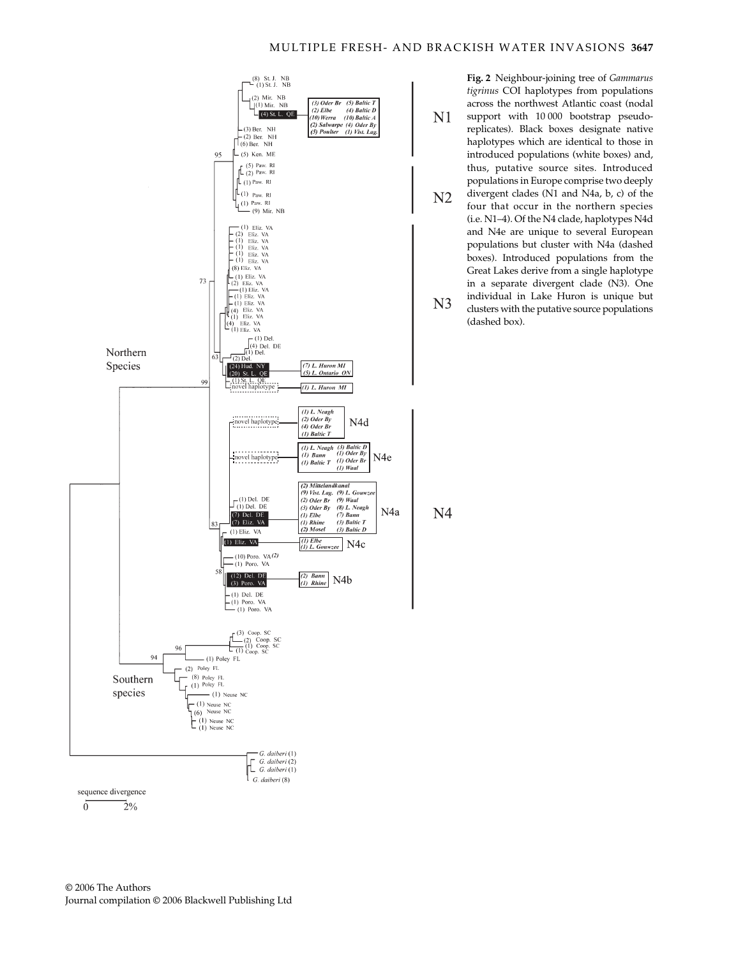

**Fig. 2** Neighbour-joining tree of *Gammarus tigrinus* COI haplotypes from populations across the northwest Atlantic coast (nodal support with 10 000 bootstrap pseudo- $N1$ replicates). Black boxes designate native haplotypes which are identical to those in introduced populations (white boxes) and, thus, putative source sites. Introduced populations in Europe comprise two deeply divergent clades (N1 and N4a, b, c) of the  $N2$ four that occur in the northern species (i.e. N1–4). Of the N4 clade, haplotypes N4d and N4e are unique to several European populations but cluster with N4a (dashed boxes). Introduced populations from the Great Lakes derive from a single haplotype in a separate divergent clade (N3). One

clusters with the putative source populations (dashed box).

individual in Lake Huron is unique but

 $N<sub>4</sub>$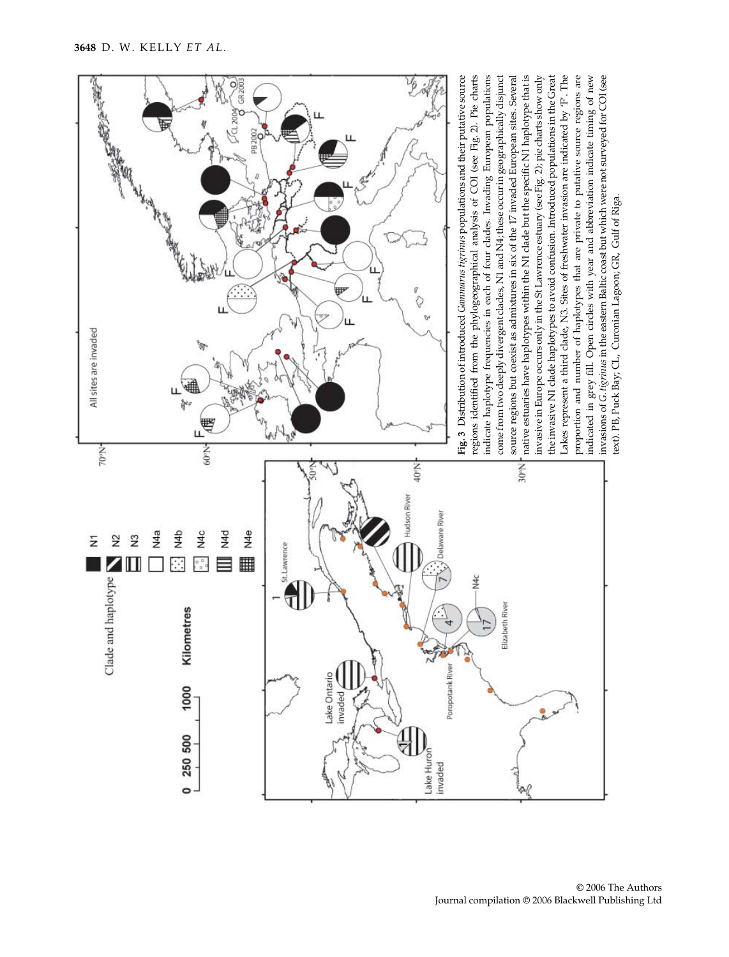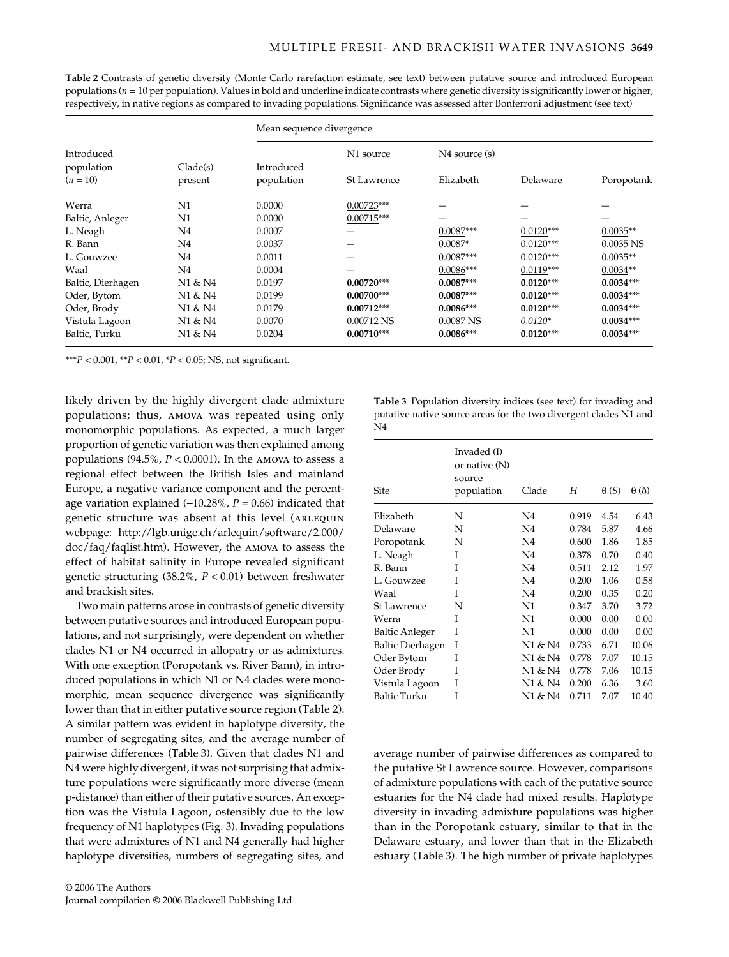|                          | Clade(s)       | Mean sequence divergence |                    |                           |             |             |  |  |
|--------------------------|----------------|--------------------------|--------------------|---------------------------|-------------|-------------|--|--|
| Introduced<br>population |                | Introduced               | N1 source          | N <sub>4</sub> source (s) |             |             |  |  |
| $(n = 10)$               | present        | population               | <b>St Lawrence</b> | Elizabeth                 | Delaware    | Poropotank  |  |  |
| Werra                    | N1             | 0.0000                   | $0.00723***$       |                           |             |             |  |  |
| Baltic, Anleger          | N1             | 0.0000                   | $0.00715***$       |                           |             |             |  |  |
| L. Neagh                 | N <sub>4</sub> | 0.0007                   |                    | $0.0087***$               | $0.0120***$ | $0.0035**$  |  |  |
| R. Bann                  | N <sub>4</sub> | 0.0037                   |                    | $0.0087*$                 | $0.0120***$ | $0.0035$ NS |  |  |
| L. Gouwzee               | N <sub>4</sub> | 0.0011                   |                    | $0.0087***$               | $0.0120***$ | $0.0035**$  |  |  |
| Waal                     | N <sub>4</sub> | 0.0004                   |                    | $0.0086***$               | $0.0119***$ | $0.0034**$  |  |  |
| Baltic, Dierhagen        | N1 & N4        | 0.0197                   | $0.00720***$       | $0.0087***$               | $0.0120***$ | $0.0034***$ |  |  |
| Oder, Bytom              | N1 & N4        | 0.0199                   | $0.00700***$       | $0.0087***$               | $0.0120***$ | $0.0034***$ |  |  |
| Oder, Brody              | N1 & N4        | 0.0179                   | $0.00712***$       | $0.0086***$               | $0.0120***$ | $0.0034***$ |  |  |
| Vistula Lagoon           | N1 & N4        | 0.0070                   | 0.00712 NS         | $0.0087$ NS               | $0.0120*$   | $0.0034***$ |  |  |
| Baltic, Turku            | N1 & N4        | 0.0204                   | $0.00710***$       | $0.0086***$               | $0.0120***$ | $0.0034***$ |  |  |

**Table 2** Contrasts of genetic diversity (Monte Carlo rarefaction estimate, see text) between putative source and introduced European populations (*n* = 10 per population). Values in bold and underline indicate contrasts where genetic diversity is significantly lower or higher, respectively, in native regions as compared to invading populations. Significance was assessed after Bonferroni adjustment (see text)

\*\*\**P* < 0.001, \*\**P* < 0.01, \**P* < 0.05; NS, not significant.

likely driven by the highly divergent clade admixture populations; thus, amova was repeated using only monomorphic populations. As expected, a much larger proportion of genetic variation was then explained among populations (94.5%,  $P < 0.0001$ ). In the AMOVA to assess a regional effect between the British Isles and mainland Europe, a negative variance component and the percentage variation explained (−10.28%, *P* = 0.66) indicated that genetic structure was absent at this level (ARLEQUIN webpage: http://lgb.unige.ch/arlequin/software/2.000/ doc/faq/faqlist.htm). However, the amova to assess the effect of habitat salinity in Europe revealed significant genetic structuring (38.2%, *P* < 0.01) between freshwater and brackish sites.

Two main patterns arose in contrasts of genetic diversity between putative sources and introduced European populations, and not surprisingly, were dependent on whether clades N1 or N4 occurred in allopatry or as admixtures. With one exception (Poropotank vs. River Bann), in introduced populations in which N1 or N4 clades were monomorphic, mean sequence divergence was significantly lower than that in either putative source region (Table 2). A similar pattern was evident in haplotype diversity, the number of segregating sites, and the average number of pairwise differences (Table 3). Given that clades N1 and N4 were highly divergent, it was not surprising that admixture populations were significantly more diverse (mean p-distance) than either of their putative sources. An exception was the Vistula Lagoon, ostensibly due to the low frequency of N1 haplotypes (Fig. 3). Invading populations that were admixtures of N1 and N4 generally had higher haplotype diversities, numbers of segregating sites, and

**Table 3** Population diversity indices (see text) for invading and putative native source areas for the two divergent clades N1 and N4

| Site                    | Invaded (I)<br>or native (N)<br>source<br>population | Clade          | Н     | $\theta(S)$ | $\theta$ ( $\delta$ ) |
|-------------------------|------------------------------------------------------|----------------|-------|-------------|-----------------------|
| Elizabeth               | N                                                    | N <sub>4</sub> | 0.919 | 4.54        | 6.43                  |
| Delaware                | N                                                    | N <sub>4</sub> | 0.784 | 5.87        | 4.66                  |
| Poropotank              | N                                                    | N <sub>4</sub> | 0.600 | 1.86        | 1.85                  |
| L. Neagh                | Ī                                                    | N <sub>4</sub> | 0.378 | 0.70        | 0.40                  |
| R. Bann                 | I                                                    | N4             | 0.511 | 2.12        | 1.97                  |
| L. Gouwzee              | Ī                                                    | N <sub>4</sub> | 0.200 | 1.06        | 0.58                  |
| Waal                    | Ī                                                    | N <sub>4</sub> | 0.200 | 0.35        | 0.20                  |
| <b>St Lawrence</b>      | N                                                    | N1             | 0.347 | 3.70        | 3.72                  |
| Werra                   | Ī                                                    | N1             | 0.000 | 0.00        | 0.00                  |
| Baltic Anleger          | I                                                    | N1             | 0.000 | 0.00        | 0.00                  |
| <b>Baltic Dierhagen</b> | I                                                    | N1 & N4        | 0.733 | 6.71        | 10.06                 |
| Oder Bytom              | Ī                                                    | N1 & N4        | 0.778 | 7.07        | 10.15                 |
| Oder Brody              | I                                                    | N1 & N4        | 0.778 | 7.06        | 10.15                 |
| Vistula Lagoon          | Ι                                                    | N1 & N4        | 0.200 | 6.36        | 3.60                  |
| <b>Baltic Turku</b>     | Ī                                                    | N1 & N4        | 0.711 | 7.07        | 10.40                 |

average number of pairwise differences as compared to the putative St Lawrence source. However, comparisons of admixture populations with each of the putative source estuaries for the N4 clade had mixed results. Haplotype diversity in invading admixture populations was higher than in the Poropotank estuary, similar to that in the Delaware estuary, and lower than that in the Elizabeth estuary (Table 3). The high number of private haplotypes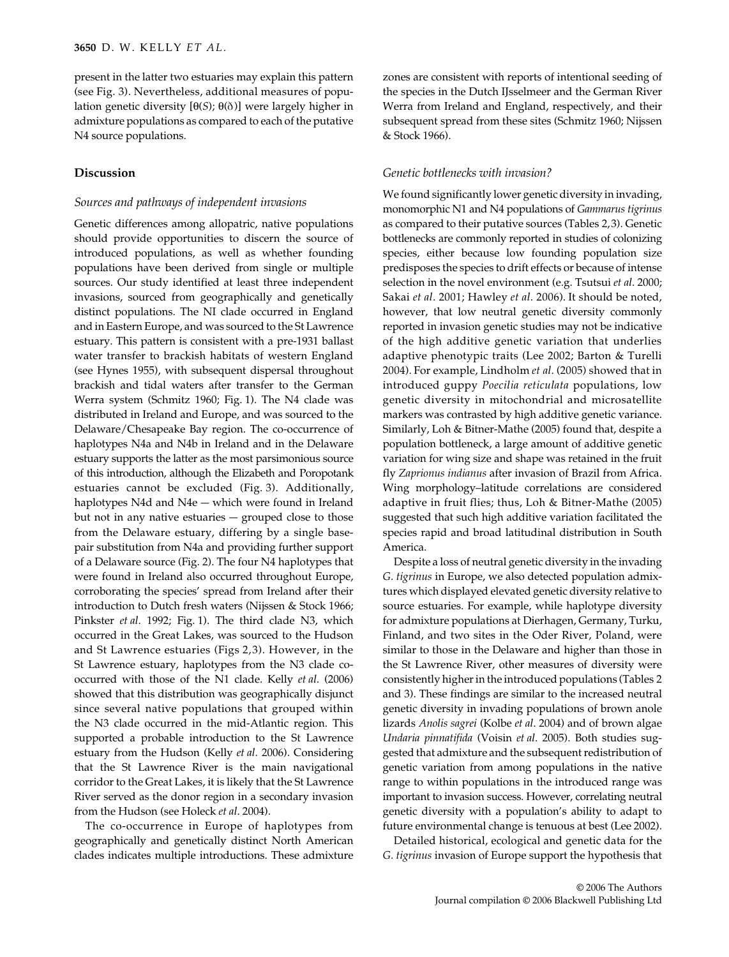present in the latter two estuaries may explain this pattern (see Fig. 3). Nevertheless, additional measures of population genetic diversity [θ(*S*); θ(3)] were largely higher in admixture populations as compared to each of the putative N4 source populations.

# **Discussion**

# *Sources and pathways of independent invasions*

Genetic differences among allopatric, native populations should provide opportunities to discern the source of introduced populations, as well as whether founding populations have been derived from single or multiple sources. Our study identified at least three independent invasions, sourced from geographically and genetically distinct populations. The NI clade occurred in England and in Eastern Europe, and was sourced to the St Lawrence estuary. This pattern is consistent with a pre-1931 ballast water transfer to brackish habitats of western England (see Hynes 1955), with subsequent dispersal throughout brackish and tidal waters after transfer to the German Werra system (Schmitz 1960; Fig. 1). The N4 clade was distributed in Ireland and Europe, and was sourced to the Delaware/Chesapeake Bay region. The co-occurrence of haplotypes N4a and N4b in Ireland and in the Delaware estuary supports the latter as the most parsimonious source of this introduction, although the Elizabeth and Poropotank estuaries cannot be excluded (Fig. 3). Additionally, haplotypes N4d and N4e — which were found in Ireland but not in any native estuaries — grouped close to those from the Delaware estuary, differing by a single basepair substitution from N4a and providing further support of a Delaware source (Fig. 2). The four N4 haplotypes that were found in Ireland also occurred throughout Europe, corroborating the species' spread from Ireland after their introduction to Dutch fresh waters (Nijssen & Stock 1966; Pinkster *et al*. 1992; Fig. 1). The third clade N3, which occurred in the Great Lakes, was sourced to the Hudson and St Lawrence estuaries (Figs 2,3). However, in the St Lawrence estuary, haplotypes from the N3 clade cooccurred with those of the N1 clade. Kelly *et al*. (2006) showed that this distribution was geographically disjunct since several native populations that grouped within the N3 clade occurred in the mid-Atlantic region. This supported a probable introduction to the St Lawrence estuary from the Hudson (Kelly *et al*. 2006). Considering that the St Lawrence River is the main navigational corridor to the Great Lakes, it is likely that the St Lawrence River served as the donor region in a secondary invasion from the Hudson (see Holeck *et al*. 2004).

The co-occurrence in Europe of haplotypes from geographically and genetically distinct North American clades indicates multiple introductions. These admixture zones are consistent with reports of intentional seeding of the species in the Dutch IJsselmeer and the German River Werra from Ireland and England, respectively, and their subsequent spread from these sites (Schmitz 1960; Nijssen & Stock 1966).

## *Genetic bottlenecks with invasion?*

We found significantly lower genetic diversity in invading, monomorphic N1 and N4 populations of *Gammarus tigrinus* as compared to their putative sources (Tables 2,3). Genetic bottlenecks are commonly reported in studies of colonizing species, either because low founding population size predisposes the species to drift effects or because of intense selection in the novel environment (e.g. Tsutsui *et al*. 2000; Sakai *et al*. 2001; Hawley *et al*. 2006). It should be noted, however, that low neutral genetic diversity commonly reported in invasion genetic studies may not be indicative of the high additive genetic variation that underlies adaptive phenotypic traits (Lee 2002; Barton & Turelli 2004). For example, Lindholm *et al*. (2005) showed that in introduced guppy *Poecilia reticulata* populations, low genetic diversity in mitochondrial and microsatellite markers was contrasted by high additive genetic variance. Similarly, Loh & Bitner-Mathe (2005) found that, despite a population bottleneck, a large amount of additive genetic variation for wing size and shape was retained in the fruit fly *Zaprionus indianus* after invasion of Brazil from Africa. Wing morphology–latitude correlations are considered adaptive in fruit flies; thus, Loh & Bitner-Mathe (2005) suggested that such high additive variation facilitated the species rapid and broad latitudinal distribution in South America.

Despite a loss of neutral genetic diversity in the invading *G. tigrinus* in Europe, we also detected population admixtures which displayed elevated genetic diversity relative to source estuaries. For example, while haplotype diversity for admixture populations at Dierhagen, Germany, Turku, Finland, and two sites in the Oder River, Poland, were similar to those in the Delaware and higher than those in the St Lawrence River, other measures of diversity were consistently higher in the introduced populations (Tables 2 and 3). These findings are similar to the increased neutral genetic diversity in invading populations of brown anole lizards *Anolis sagrei* (Kolbe *et al*. 2004) and of brown algae *Undaria pinnatifida* (Voisin *et al*. 2005). Both studies suggested that admixture and the subsequent redistribution of genetic variation from among populations in the native range to within populations in the introduced range was important to invasion success. However, correlating neutral genetic diversity with a population's ability to adapt to future environmental change is tenuous at best (Lee 2002).

Detailed historical, ecological and genetic data for the *G. tigrinus* invasion of Europe support the hypothesis that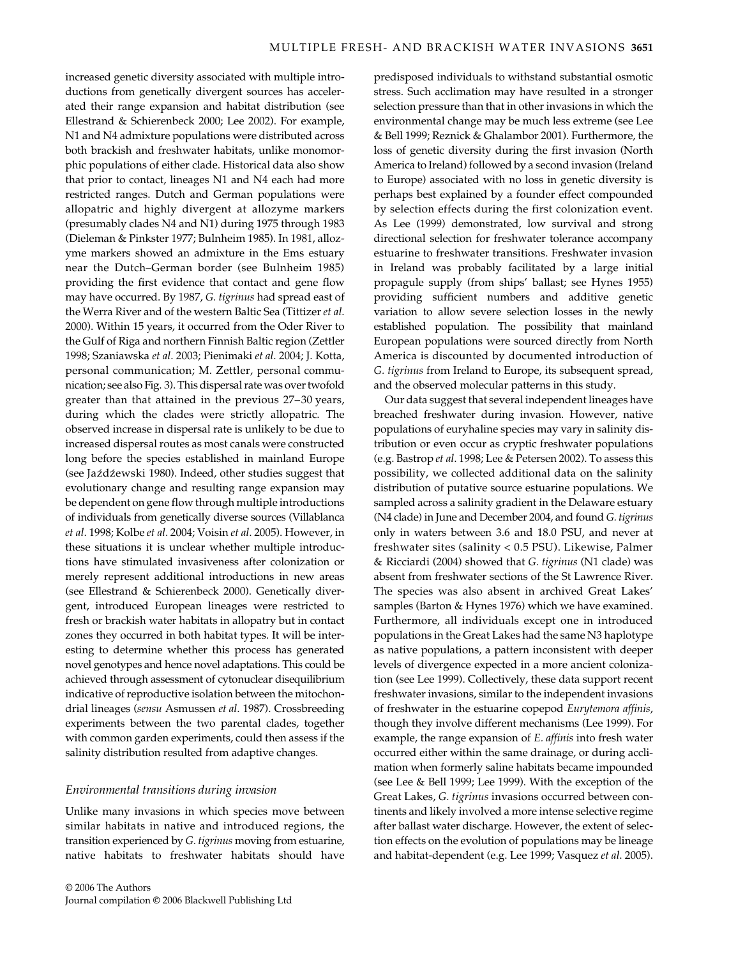increased genetic diversity associated with multiple introductions from genetically divergent sources has accelerated their range expansion and habitat distribution (see Ellestrand & Schierenbeck 2000; Lee 2002). For example, N1 and N4 admixture populations were distributed across both brackish and freshwater habitats, unlike monomorphic populations of either clade. Historical data also show that prior to contact, lineages N1 and N4 each had more restricted ranges. Dutch and German populations were allopatric and highly divergent at allozyme markers (presumably clades N4 and N1) during 1975 through 1983 (Dieleman & Pinkster 1977; Bulnheim 1985). In 1981, allozyme markers showed an admixture in the Ems estuary near the Dutch–German border (see Bulnheim 1985) providing the first evidence that contact and gene flow may have occurred. By 1987, *G. tigrinus* had spread east of the Werra River and of the western Baltic Sea (Tittizer *et al*. 2000). Within 15 years, it occurred from the Oder River to the Gulf of Riga and northern Finnish Baltic region (Zettler 1998; Szaniawska *et al*. 2003; Pienimaki *et al*. 2004; J. Kotta, personal communication; M. Zettler, personal communication; see also Fig. 3). This dispersal rate was over twofold greater than that attained in the previous 27–30 years, during which the clades were strictly allopatric. The observed increase in dispersal rate is unlikely to be due to increased dispersal routes as most canals were constructed long before the species established in mainland Europe (see Jaźdźewski 1980). Indeed, other studies suggest that evolutionary change and resulting range expansion may be dependent on gene flow through multiple introductions of individuals from genetically diverse sources (Villablanca *et al*. 1998; Kolbe *et al*. 2004; Voisin *et al*. 2005). However, in these situations it is unclear whether multiple introductions have stimulated invasiveness after colonization or merely represent additional introductions in new areas (see Ellestrand & Schierenbeck 2000). Genetically divergent, introduced European lineages were restricted to fresh or brackish water habitats in allopatry but in contact zones they occurred in both habitat types. It will be interesting to determine whether this process has generated novel genotypes and hence novel adaptations. This could be achieved through assessment of cytonuclear disequilibrium indicative of reproductive isolation between the mitochondrial lineages (*sensu* Asmussen *et al*. 1987). Crossbreeding experiments between the two parental clades, together with common garden experiments, could then assess if the salinity distribution resulted from adaptive changes.

#### *Environmental transitions during invasion*

Unlike many invasions in which species move between similar habitats in native and introduced regions, the transition experienced by *G. tigrinus* moving from estuarine, native habitats to freshwater habitats should have predisposed individuals to withstand substantial osmotic stress. Such acclimation may have resulted in a stronger selection pressure than that in other invasions in which the environmental change may be much less extreme (see Lee & Bell 1999; Reznick & Ghalambor 2001). Furthermore, the loss of genetic diversity during the first invasion (North America to Ireland) followed by a second invasion (Ireland to Europe) associated with no loss in genetic diversity is perhaps best explained by a founder effect compounded by selection effects during the first colonization event. As Lee (1999) demonstrated, low survival and strong directional selection for freshwater tolerance accompany estuarine to freshwater transitions. Freshwater invasion in Ireland was probably facilitated by a large initial propagule supply (from ships' ballast; see Hynes 1955) providing sufficient numbers and additive genetic variation to allow severe selection losses in the newly established population. The possibility that mainland European populations were sourced directly from North America is discounted by documented introduction of *G. tigrinus* from Ireland to Europe, its subsequent spread, and the observed molecular patterns in this study.

Our data suggest that several independent lineages have breached freshwater during invasion. However, native populations of euryhaline species may vary in salinity distribution or even occur as cryptic freshwater populations (e.g. Bastrop *et al*. 1998; Lee & Petersen 2002). To assess this possibility, we collected additional data on the salinity distribution of putative source estuarine populations. We sampled across a salinity gradient in the Delaware estuary (N4 clade) in June and December 2004, and found *G. tigrinus* only in waters between 3.6 and 18.0 PSU, and never at freshwater sites (salinity < 0.5 PSU). Likewise, Palmer & Ricciardi (2004) showed that *G. tigrinus* (N1 clade) was absent from freshwater sections of the St Lawrence River. The species was also absent in archived Great Lakes' samples (Barton & Hynes 1976) which we have examined. Furthermore, all individuals except one in introduced populations in the Great Lakes had the same N3 haplotype as native populations, a pattern inconsistent with deeper levels of divergence expected in a more ancient colonization (see Lee 1999). Collectively, these data support recent freshwater invasions, similar to the independent invasions of freshwater in the estuarine copepod *Eurytemora affinis*, though they involve different mechanisms (Lee 1999). For example, the range expansion of *E. affinis* into fresh water occurred either within the same drainage, or during acclimation when formerly saline habitats became impounded (see Lee & Bell 1999; Lee 1999). With the exception of the Great Lakes, *G. tigrinus* invasions occurred between continents and likely involved a more intense selective regime after ballast water discharge. However, the extent of selection effects on the evolution of populations may be lineage and habitat-dependent (e.g. Lee 1999; Vasquez *et al*. 2005).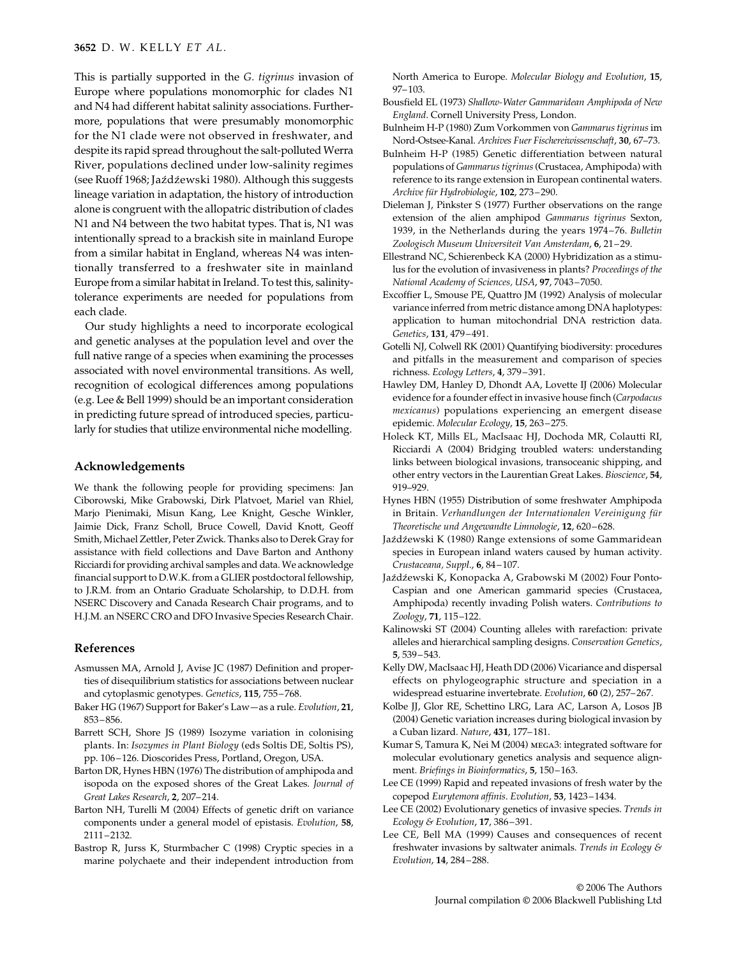This is partially supported in the *G. tigrinus* invasion of Europe where populations monomorphic for clades N1 and N4 had different habitat salinity associations. Furthermore, populations that were presumably monomorphic for the N1 clade were not observed in freshwater, and despite its rapid spread throughout the salt-polluted Werra River, populations declined under low-salinity regimes (see Ruoff 1968; Jaźdźewski 1980). Although this suggests lineage variation in adaptation, the history of introduction alone is congruent with the allopatric distribution of clades N1 and N4 between the two habitat types. That is, N1 was intentionally spread to a brackish site in mainland Europe from a similar habitat in England, whereas N4 was intentionally transferred to a freshwater site in mainland Europe from a similar habitat in Ireland. To test this, salinitytolerance experiments are needed for populations from each clade.

Our study highlights a need to incorporate ecological and genetic analyses at the population level and over the full native range of a species when examining the processes associated with novel environmental transitions. As well, recognition of ecological differences among populations (e.g. Lee & Bell 1999) should be an important consideration in predicting future spread of introduced species, particularly for studies that utilize environmental niche modelling.

# **Acknowledgements**

We thank the following people for providing specimens: Jan Ciborowski, Mike Grabowski, Dirk Platvoet, Mariel van Rhiel, Marjo Pienimaki, Misun Kang, Lee Knight, Gesche Winkler, Jaimie Dick, Franz Scholl, Bruce Cowell, David Knott, Geoff Smith, Michael Zettler, Peter Zwick. Thanks also to Derek Gray for assistance with field collections and Dave Barton and Anthony Ricciardi for providing archival samples and data. We acknowledge financial support to D.W.K. from a GLIER postdoctoral fellowship, to J.R.M. from an Ontario Graduate Scholarship, to D.D.H. from NSERC Discovery and Canada Research Chair programs, and to H.J.M. an NSERC CRO and DFO Invasive Species Research Chair.

# **References**

- Asmussen MA, Arnold J, Avise JC (1987) Definition and properties of disequilibrium statistics for associations between nuclear and cytoplasmic genotypes. *Genetics*, **115**, 755–768.
- Baker HG (1967) Support for Baker's Law—as a rule. *Evolution*, **21**, 853–856.
- Barrett SCH, Shore JS (1989) Isozyme variation in colonising plants. In: *Isozymes in Plant Biology* (eds Soltis DE, Soltis PS), pp. 106–126. Dioscorides Press, Portland, Oregon, USA.
- Barton DR, Hynes HBN (1976) The distribution of amphipoda and isopoda on the exposed shores of the Great Lakes. *Journal of Great Lakes Research*, **2**, 207–214.
- Barton NH, Turelli M (2004) Effects of genetic drift on variance components under a general model of epistasis. *Evolution*, **58**, 2111–2132.
- Bastrop R, Jurss K, Sturmbacher C (1998) Cryptic species in a marine polychaete and their independent introduction from

North America to Europe. *Molecular Biology and Evolution*, **15**, 97–103.

- Bousfield EL (1973) *Shallow-Water Gammaridean Amphipoda of New England*. Cornell University Press, London.
- Bulnheim H-P (1980) Zum Vorkommen von *Gammarus tigrinus*im Nord-Ostsee-Kanal. *Archives Fuer Fischereiwissenschaft*, **30**, 67–73.
- Bulnheim H-P (1985) Genetic differentiation between natural populations of *Gammarus tigrinus*(Crustacea, Amphipoda) with reference to its range extension in European continental waters. *Archive für Hydrobiologie*, **102**, 273–290.
- Dieleman J, Pinkster S (1977) Further observations on the range extension of the alien amphipod *Gammarus tigrinus* Sexton, 1939, in the Netherlands during the years 1974–76. *Bulletin Zoologisch Museum Universiteit Van Amsterdam*, **6**, 21–29.
- Ellestrand NC, Schierenbeck KA (2000) Hybridization as a stimulus for the evolution of invasiveness in plants? *Proceedings of the National Academy of Sciences, USA*, **97**, 7043–7050.
- Excoffier L, Smouse PE, Quattro JM (1992) Analysis of molecular variance inferred from metric distance among DNA haplotypes: application to human mitochondrial DNA restriction data. *Genetics*, **131**, 479–491.
- Gotelli NJ, Colwell RK (2001) Quantifying biodiversity: procedures and pitfalls in the measurement and comparison of species richness. *Ecology Letters*, **4**, 379–391.
- Hawley DM, Hanley D, Dhondt AA, Lovette IJ (2006) Molecular evidence for a founder effect in invasive house finch (*Carpodacus mexicanus*) populations experiencing an emergent disease epidemic. *Molecular Ecology*, **15**, 263–275.
- Holeck KT, Mills EL, MacIsaac HJ, Dochoda MR, Colautti RI, Ricciardi A (2004) Bridging troubled waters: understanding links between biological invasions, transoceanic shipping, and other entry vectors in the Laurentian Great Lakes. *Bioscience*, **54**, 919–929.
- Hynes HBN (1955) Distribution of some freshwater Amphipoda in Britain. *Verhandlungen der Internationalen Vereinigung für Theoretische und Angewandte Limnologie*, **12**, 620–628.
- Jaźdźewski K (1980) Range extensions of some Gammaridean species in European inland waters caused by human activity. *Crustaceana, Suppl*., **6**, 84–107.
- Jaźdźewski K, Konopacka A, Grabowski M (2002) Four Ponto-Caspian and one American gammarid species (Crustacea, Amphipoda) recently invading Polish waters. *Contributions to Zoology*, **71**, 115–122.
- Kalinowski ST (2004) Counting alleles with rarefaction: private alleles and hierarchical sampling designs. *Conservation Genetics*, **5**, 539–543.
- Kelly DW, MacIsaac HJ, Heath DD (2006) Vicariance and dispersal effects on phylogeographic structure and speciation in a widespread estuarine invertebrate. *Evolution*, **60** (2), 257–267.
- Kolbe JJ, Glor RE, Schettino LRG, Lara AC, Larson A, Losos JB (2004) Genetic variation increases during biological invasion by a Cuban lizard. *Nature*, **431**, 177–181.
- Kumar S, Tamura K, Nei M (2004) MEGA3: integrated software for molecular evolutionary genetics analysis and sequence alignment. *Briefings in Bioinformatics*, **5**, 150–163.
- Lee CE (1999) Rapid and repeated invasions of fresh water by the copepod *Eurytemora affinis*. *Evolution*, **53**, 1423–1434.
- Lee CE (2002) Evolutionary genetics of invasive species. *Trends in Ecology & Evolution*, **17**, 386–391.
- Lee CE, Bell MA (1999) Causes and consequences of recent freshwater invasions by saltwater animals. *Trends in Ecology & Evolution*, **14**, 284–288.